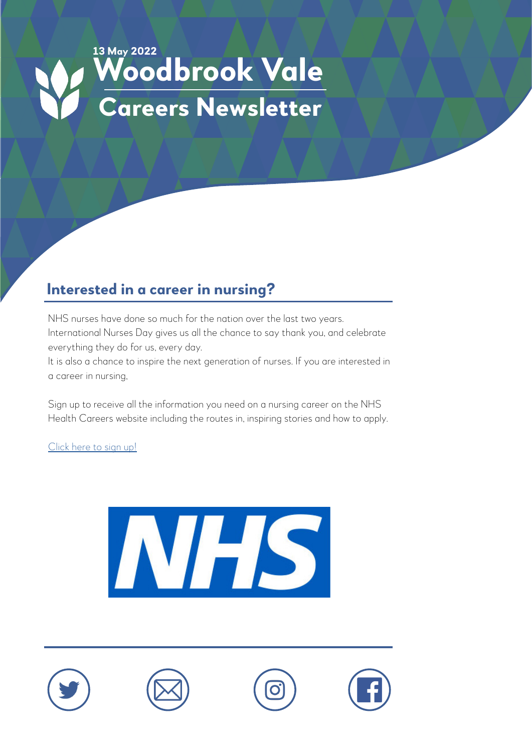# **13 May 2022 Woodbrook Vale Careers Newsletter**

#### **Interested in a career in nursing?**

NHS nurses have done so much for the nation over the last two years. International Nurses Day gives us all the chance to say thank you, and celebrate everything they do for us, every day.

It is also a chance to inspire the next generation of nurses. If you are interested in a career in nursing,

Sign up to receive all the information you need on a nursing career on the NHS Health Careers website including the routes in, inspiring stories and how to apply.

[Click here to sign up!](https://www.healthcareers.nhs.uk/we-are-the-nhs/registration?career=nursing)









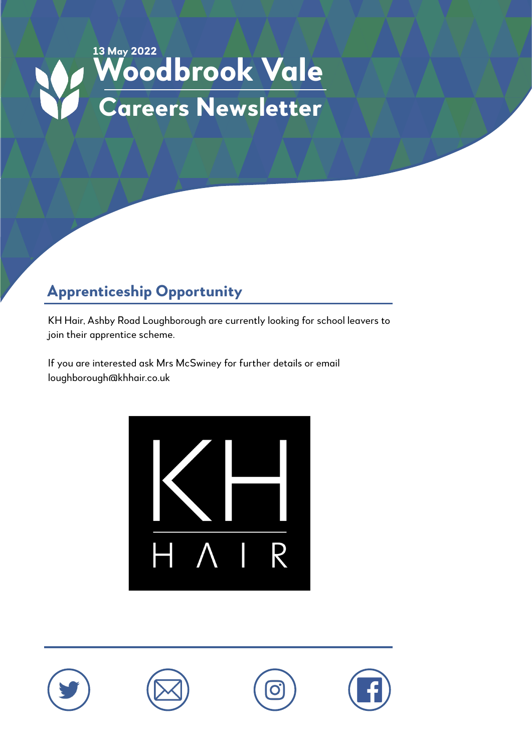

## **Apprenticeship Opportunity**

KH Hair, Ashby Road Loughborough are currently looking for school leavers to join their apprentice scheme.

If you are interested ask Mrs McSwiney for further details or email loughborough@khhair.co.uk